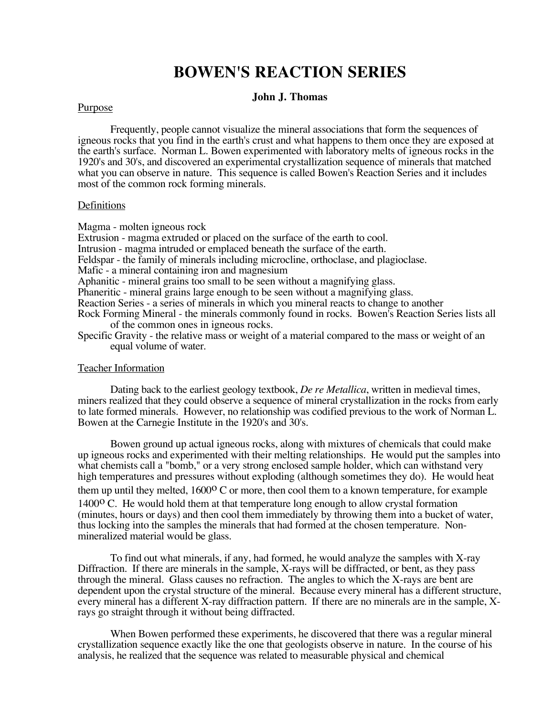# **BOWEN'S REACTION SERIES**

#### **John J. Thomas**

#### **Purpose**

Frequently, people cannot visualize the mineral associations that form the sequences of igneous rocks that you find in the earth's crust and what happens to them once they are exposed at the earth's surface. Norman L. Bowen experimented with laboratory melts of igneous rocks in the 1920's and 30's, and discovered an experimental crystallization sequence of minerals that matched what you can observe in nature. This sequence is called Bowen's Reaction Series and it includes most of the common rock forming minerals.

#### Definitions

Magma - molten igneous rock

Extrusion - magma extruded or placed on the surface of the earth to cool. Intrusion - magma intruded or emplaced beneath the surface of the earth. Feldspar - the family of minerals including microcline, orthoclase, and plagioclase. Mafic - a mineral containing iron and magnesium Aphanitic - mineral grains too small to be seen without a magnifying glass. Phaneritic - mineral grains large enough to be seen without a magnifying glass. Reaction Series - a series of minerals in which you mineral reacts to change to another Rock Forming Mineral - the minerals commonly found in rocks. Bowen's Reaction Series lists all of the common ones in igneous rocks. Specific Gravity - the relative mass or weight of a material compared to the mass or weight of an equal volume of water.

#### Teacher Information

Dating back to the earliest geology textbook, *De re Metallica*, written in medieval times, miners realized that they could observe a sequence of mineral crystallization in the rocks from early to late formed minerals. However, no relationship was codified previous to the work of Norman L. Bowen at the Carnegie Institute in the 1920's and 30's.

Bowen ground up actual igneous rocks, along with mixtures of chemicals that could make up igneous rocks and experimented with their melting relationships. He would put the samples into what chemists call a "bomb," or a very strong enclosed sample holder, which can withstand very high temperatures and pressures without exploding (although sometimes they do). He would heat them up until they melted,  $1600\degree$  C or more, then cool them to a known temperature, for example  $1400^{\circ}$  C. He would hold them at that temperature long enough to allow crystal formation (minutes, hours or days) and then cool them immediately by throwing them into a bucket of water, thus locking into the samples the minerals that had formed at the chosen temperature. Nonmineralized material would be glass.

To find out what minerals, if any, had formed, he would analyze the samples with X-ray Diffraction. If there are minerals in the sample, X-rays will be diffracted, or bent, as they pass through the mineral. Glass causes no refraction. The angles to which the X-rays are bent are dependent upon the crystal structure of the mineral. Because every mineral has a different structure, every mineral has a different X-ray diffraction pattern. If there are no minerals are in the sample, Xrays go straight through it without being diffracted.

When Bowen performed these experiments, he discovered that there was a regular mineral crystallization sequence exactly like the one that geologists observe in nature. In the course of his analysis, he realized that the sequence was related to measurable physical and chemical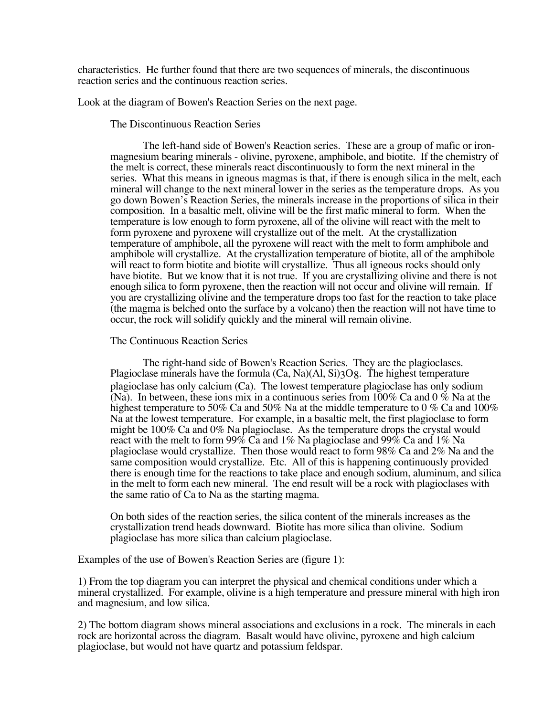characteristics. He further found that there are two sequences of minerals, the discontinuous reaction series and the continuous reaction series.

Look at the diagram of Bowen's Reaction Series on the next page.

The Discontinuous Reaction Series

The left-hand side of Bowen's Reaction series. These are a group of mafic or ironmagnesium bearing minerals - olivine, pyroxene, amphibole, and biotite. If the chemistry of the melt is correct, these minerals react discontinuously to form the next mineral in the series. What this means in igneous magmas is that, if there is enough silica in the melt, each mineral will change to the next mineral lower in the series as the temperature drops. As you go down Bowen's Reaction Series, the minerals increase in the proportions of silica in their composition. In a basaltic melt, olivine will be the first mafic mineral to form. When the temperature is low enough to form pyroxene, all of the olivine will react with the melt to form pyroxene and pyroxene will crystallize out of the melt. At the crystallization temperature of amphibole, all the pyroxene will react with the melt to form amphibole and amphibole will crystallize. At the crystallization temperature of biotite, all of the amphibole will react to form biotite and biotite will crystallize. Thus all igneous rocks should only have biotite. But we know that it is not true. If you are crystallizing olivine and there is not enough silica to form pyroxene, then the reaction will not occur and olivine will remain. If you are crystallizing olivine and the temperature drops too fast for the reaction to take place (the magma is belched onto the surface by a volcano) then the reaction will not have time to occur, the rock will solidify quickly and the mineral will remain olivine.

#### The Continuous Reaction Series

The right-hand side of Bowen's Reaction Series. They are the plagioclases. Plagioclase minerals have the formula  $(Ca, Na)(Al, Si)3O8$ . The highest temperature plagioclase has only calcium (Ca). The lowest temperature plagioclase has only sodium (Na). In between, these ions mix in a continuous series from 100% Ca and 0 % Na at the highest temperature to 50% Ca and 50% Na at the middle temperature to 0 % Ca and 100% Na at the lowest temperature. For example, in a basaltic melt, the first plagioclase to form might be 100% Ca and 0% Na plagioclase. As the temperature drops the crystal would react with the melt to form 99% Ca and 1% Na plagioclase and 99% Ca and 1% Na plagioclase would crystallize. Then those would react to form 98% Ca and 2% Na and the same composition would crystallize. Etc. All of this is happening continuously provided there is enough time for the reactions to take place and enough sodium, aluminum, and silica in the melt to form each new mineral. The end result will be a rock with plagioclases with the same ratio of Ca to Na as the starting magma.

On both sides of the reaction series, the silica content of the minerals increases as the crystallization trend heads downward. Biotite has more silica than olivine. Sodium plagioclase has more silica than calcium plagioclase.

Examples of the use of Bowen's Reaction Series are (figure 1):

1) From the top diagram you can interpret the physical and chemical conditions under which a mineral crystallized. For example, olivine is a high temperature and pressure mineral with high iron and magnesium, and low silica.

2) The bottom diagram shows mineral associations and exclusions in a rock. The minerals in each rock are horizontal across the diagram. Basalt would have olivine, pyroxene and high calcium plagioclase, but would not have quartz and potassium feldspar.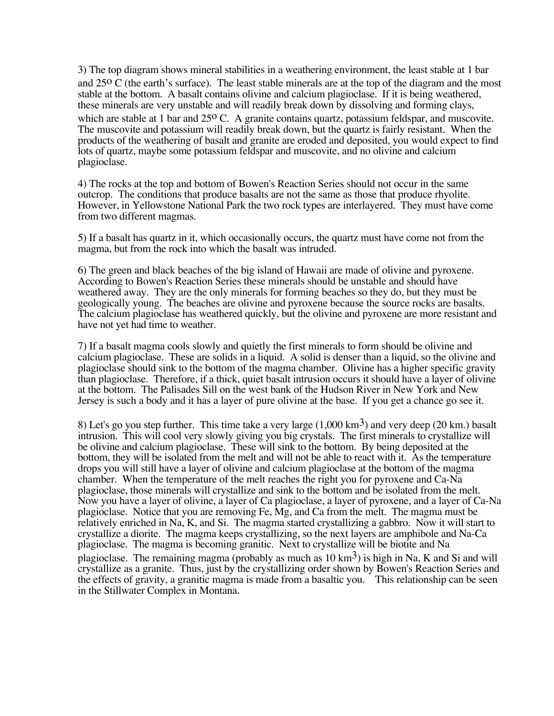3) The top diagram shows mineral stabilities in a weathering environment, the least stable at 1 bar and 25o C (the earth's surface). The least stable minerals are at the top of the diagram and the most stable at the bottom. A basalt contains olivine and calcium plagioclase. If it is being weathered, these minerals are very unstable and will readily break down by dissolving and forming clays, which are stable at 1 bar and 25<sup>o</sup> C. A granite contains quartz, potassium feldspar, and muscovite. The muscovite and potassium will readily break down, but the quartz is fairly resistant. When the products of the weathering of basalt and granite are eroded and deposited, you would expect to find lots of quartz, maybe some potassium feldspar and muscovite, and no olivine and calcium plagioclase.

4) The rocks at the top and bottom of Bowen's Reaction Series should not occur in the same outcrop. The conditions that produce basalts are not the same as those that produce rhyolite. However, in Yellowstone National Park the two rock types are interlayered. They must have come from two different magmas.

5) If a basalt has quartz in it, which occasionally occurs, the quartz must have come not from the magma, but from the rock into which the basalt was intruded.

6) The green and black beaches of the big island of Hawaii are made of olivine and pyroxene. According to Bowen's Reaction Series these minerals should be unstable and should have weathered away. They are the only minerals for forming beaches so they do, but they must be geologically young. The beaches are olivine and pyroxene because the source rocks are basalts. The calcium plagioclase has weathered quickly, but the olivine and pyroxene are more resistant and have not yet had time to weather.

7) If a basalt magma cools slowly and quietly the first minerals to form should be olivine and calcium plagioclase. These are solids in a liquid. A solid is denser than a liquid, so the olivine and plagioclase should sink to the bottom of the magma chamber. Olivine has a higher specific gravity than plagioclase. Therefore, if a thick, quiet basalt intrusion occurs it should have a layer of olivine at the bottom. The Palisades Sill on the west bank of the Hudson River in New York and New Jersey is such a body and it has a layer of pure olivine at the base. If you get a chance go see it.

8) Let's go you step further. This time take a very large  $(1,000 \text{ km}^3)$  and very deep (20 km.) basalt intrusion. This will cool very slowly giving you big crystals. The first minerals to crystallize will be olivine and calcium plagioclase. These will sink to the bottom. By being deposited at the bottom, they will be isolated from the melt and will not be able to react with it. As the temperature drops you will still have a layer of olivine and calcium plagioclase at the bottom of the magma chamber. When the temperature of the melt reaches the right you for pyroxene and Ca-Na plagioclase, those minerals will crystallize and sink to the bottom and be isolated from the melt. Now you have a layer of olivine, a layer of Ca plagioclase, a layer of pyroxene, and a layer of Ca-Na plagioclase. Notice that you are removing Fe, Mg, and Ca from the melt. The magma must be relatively enriched in Na, K, and Si. The magma started crystallizing a gabbro. Now it will start to crystallize a diorite. The magma keeps crystallizing, so the next layers are amphibole and Na-Ca plagioclase. The magma is becoming granitic. Next to crystallize will be biotite and Na plagioclase. The remaining magma (probably as much as  $10 \text{ km}^3$ ) is high in Na, K and Si and will crystallize as a granite. Thus, just by the crystallizing order shown by Bowen's Reaction Series and the effects of gravity, a granitic magma is made from a basaltic you. This relationship can be seen in the Stillwater Complex in Montana.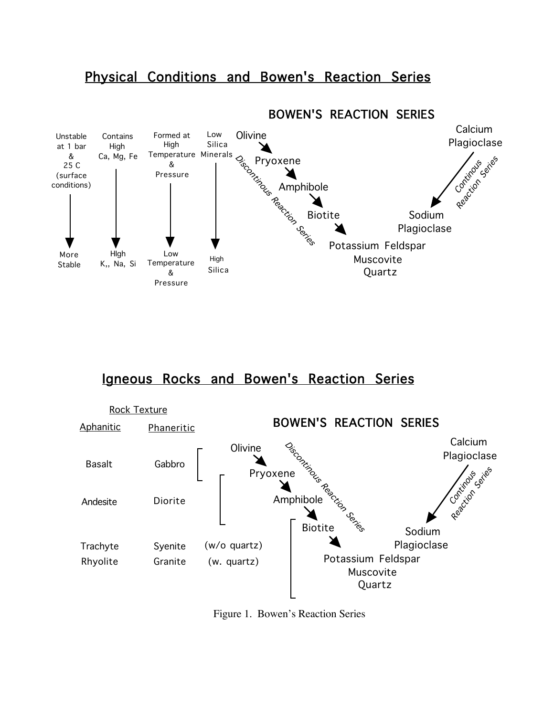# Physical Conditions and Bowen's Reaction Series



## Igneous Rocks and Bowen's Reaction Series



Figure 1. Bowen's Reaction Series